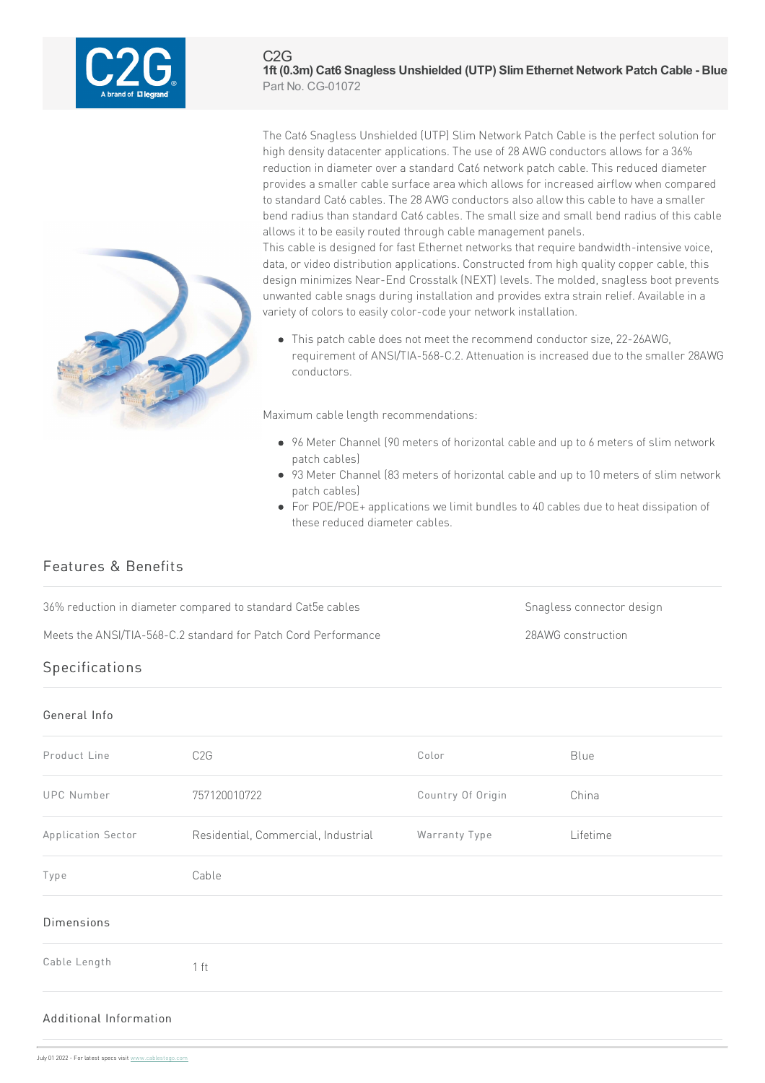

The Cat6 Snagless Unshielded (UTP) Slim Network Patch Cable is the perfect solution for high density datacenter applications. The use of 28 AWG conductors allows for a 36% reduction in diameter over a standard Cat6 network patch cable. This reduced diameter provides a smaller cable surface area which allows for increased airflow when compared to standard Cat6 cables. The 28 AWG conductors also allow this cable to have a smaller bend radius than standard Cat6 cables. The small size and small bend radius of this cable allows it to be easily routed through cable management panels.

This cable is designed for fast Ethernet networks that require bandwidth-intensive voice, data, or video distribution applications. Constructed from high quality copper cable, this design minimizes Near-End Crosstalk (NEXT) levels. The molded, snagless boot prevents unwanted cable snags during installation and provides extra strain relief. Available in a variety of colors to easily color-code your network installation.

• This patch cable does not meet the recommend conductor size, 22-26AWG, requirement of ANSI/TIA-568-C.2. Attenuation is increased due to the smaller 28AWG conductors.

Maximum cable length recommendations:

- 96 Meter Channel (90 meters of horizontal cable and up to 6 meters of slim network patch cables)
- 93 Meter Channel (83 meters of horizontal cable and up to 10 meters of slim network patch cables)
- For POE/POE+ applications we limit bundles to 40 cables due to heat dissipation of these reduced diameter cables.

# Features & Benefits

36% reduction in diameter compared to standard Cat5e cables Snagless connector design

Meets the ANSI/TIA-568-C.2 standard for Patch Cord Performance 28AWG construction

# Specifications

#### General Info

| Product Line       | C2G                                 | Color             | Blue     |
|--------------------|-------------------------------------|-------------------|----------|
| <b>UPC Number</b>  | 757120010722                        | Country Of Origin | China    |
| Application Sector | Residential, Commercial, Industrial | Warranty Type     | Lifetime |
| Type               | Cable                               |                   |          |
| <b>Dimensions</b>  |                                     |                   |          |
| Cable Length       | 1 ft                                |                   |          |
|                    |                                     |                   |          |

### Additional Info[rmation](https://www.cablestogo.com)